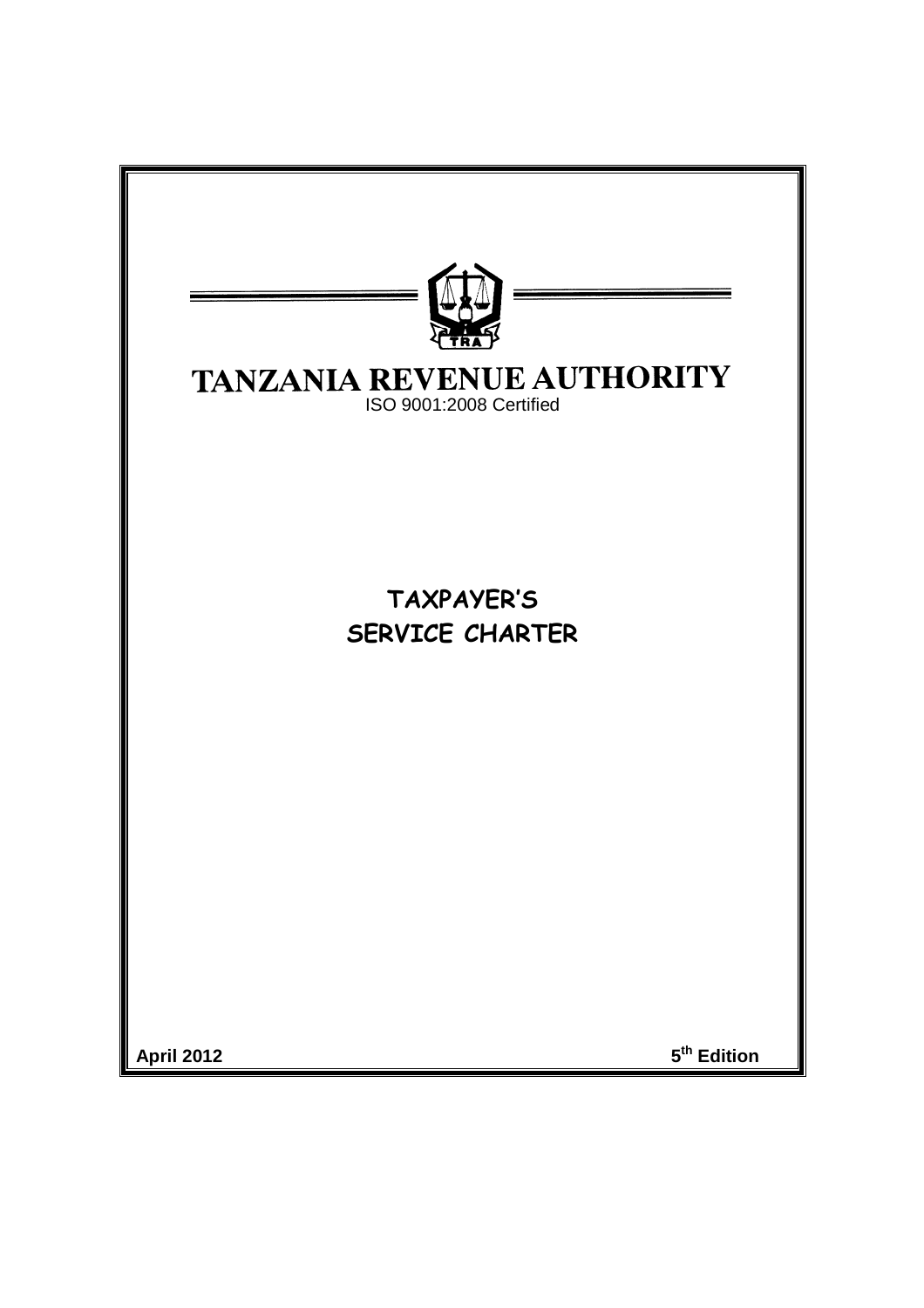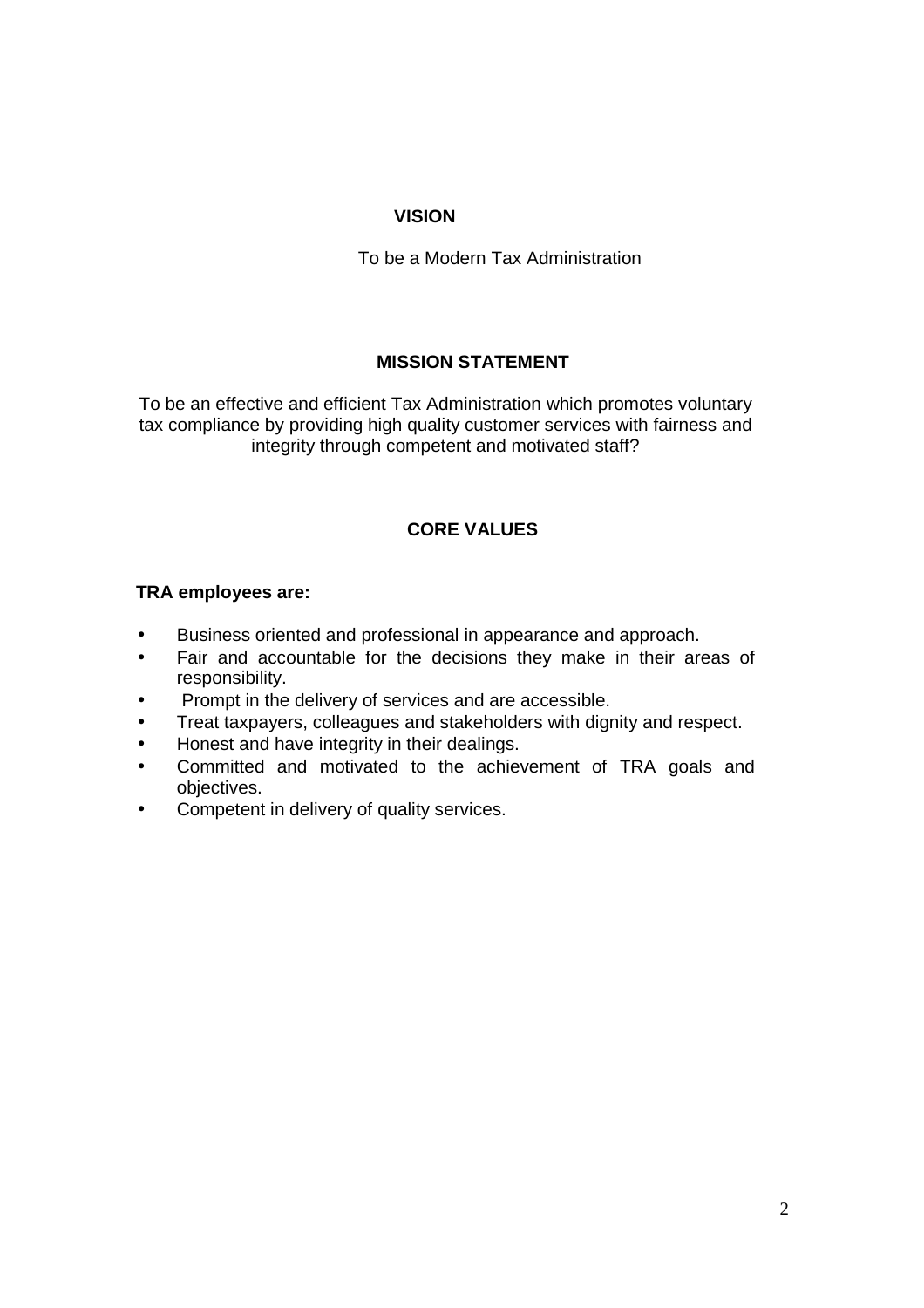## **VISION**

To be a Modern Tax Administration

# **MISSION STATEMENT**

To be an effective and efficient Tax Administration which promotes voluntary tax compliance by providing high quality customer services with fairness and integrity through competent and motivated staff?

# **CORE VALUES**

## **TRA employees are:**

- Business oriented and professional in appearance and approach.
- Fair and accountable for the decisions they make in their areas of responsibility.
- Prompt in the delivery of services and are accessible.
- Treat taxpayers, colleagues and stakeholders with dignity and respect.
- Honest and have integrity in their dealings.
- Committed and motivated to the achievement of TRA goals and objectives.
- Competent in delivery of quality services.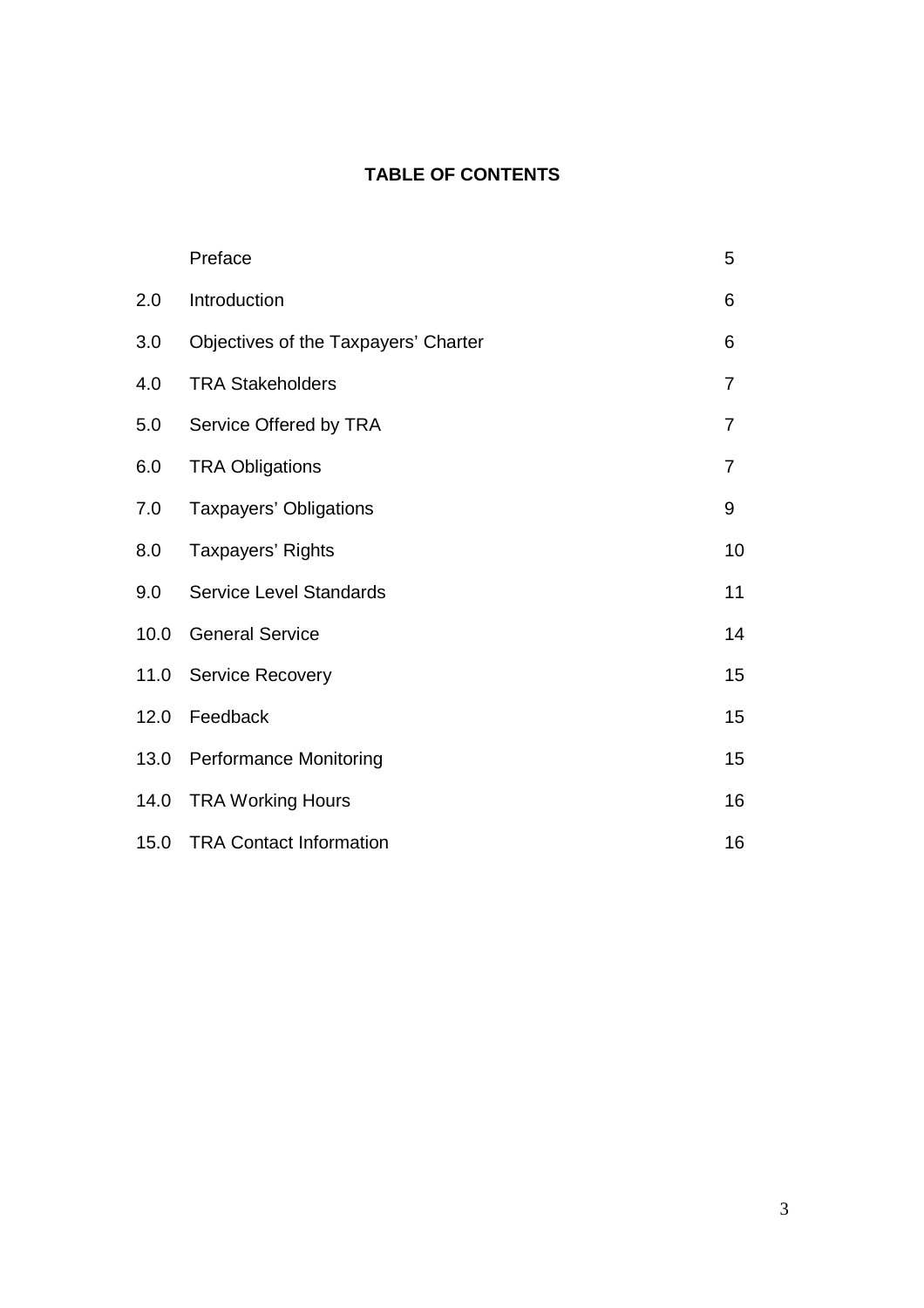# **TABLE OF CONTENTS**

|      | Preface                              | 5              |
|------|--------------------------------------|----------------|
| 2.0  | Introduction                         | 6              |
| 3.0  | Objectives of the Taxpayers' Charter | 6              |
| 4.0  | <b>TRA Stakeholders</b>              | $\overline{7}$ |
| 5.0  | Service Offered by TRA               | $\overline{7}$ |
| 6.0  | <b>TRA Obligations</b>               | $\overline{7}$ |
| 7.0  | Taxpayers' Obligations               | 9              |
| 8.0  | Taxpayers' Rights                    | 10             |
| 9.0  | <b>Service Level Standards</b>       | 11             |
| 10.0 | <b>General Service</b>               | 14             |
| 11.0 | <b>Service Recovery</b>              | 15             |
| 12.0 | Feedback                             | 15             |
| 13.0 | <b>Performance Monitoring</b>        | 15             |
| 14.0 | <b>TRA Working Hours</b>             | 16             |
| 15.0 | <b>TRA Contact Information</b>       | 16             |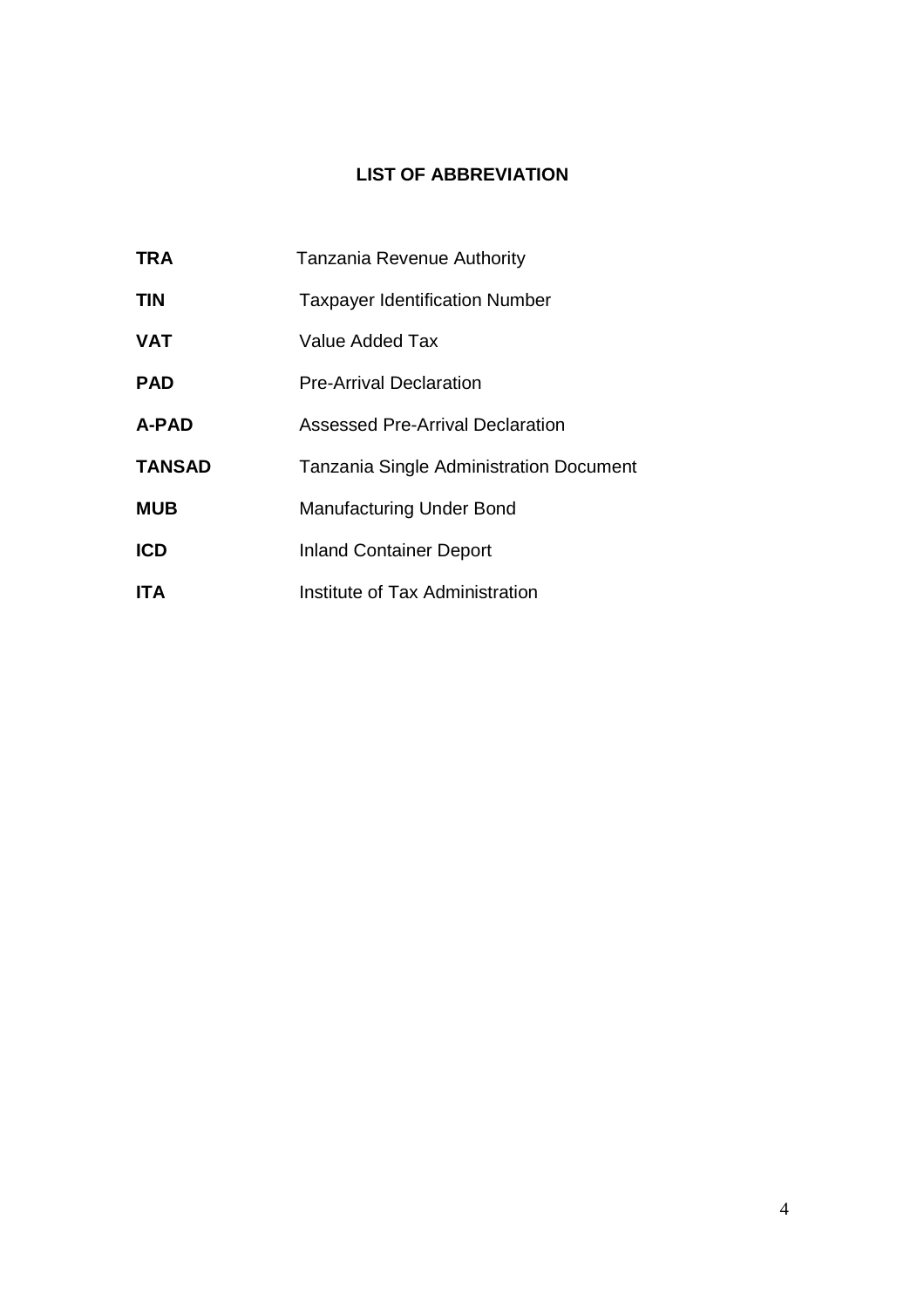# **LIST OF ABBREVIATION**

| <b>TRA</b>    | Tanzania Revenue Authority                     |
|---------------|------------------------------------------------|
| <b>TIN</b>    | <b>Taxpayer Identification Number</b>          |
| <b>VAT</b>    | Value Added Tax                                |
| <b>PAD</b>    | <b>Pre-Arrival Declaration</b>                 |
| A-PAD         | <b>Assessed Pre-Arrival Declaration</b>        |
| <b>TANSAD</b> | <b>Tanzania Single Administration Document</b> |
| <b>MUB</b>    | <b>Manufacturing Under Bond</b>                |
| <b>ICD</b>    | <b>Inland Container Deport</b>                 |
| <b>ITA</b>    | Institute of Tax Administration                |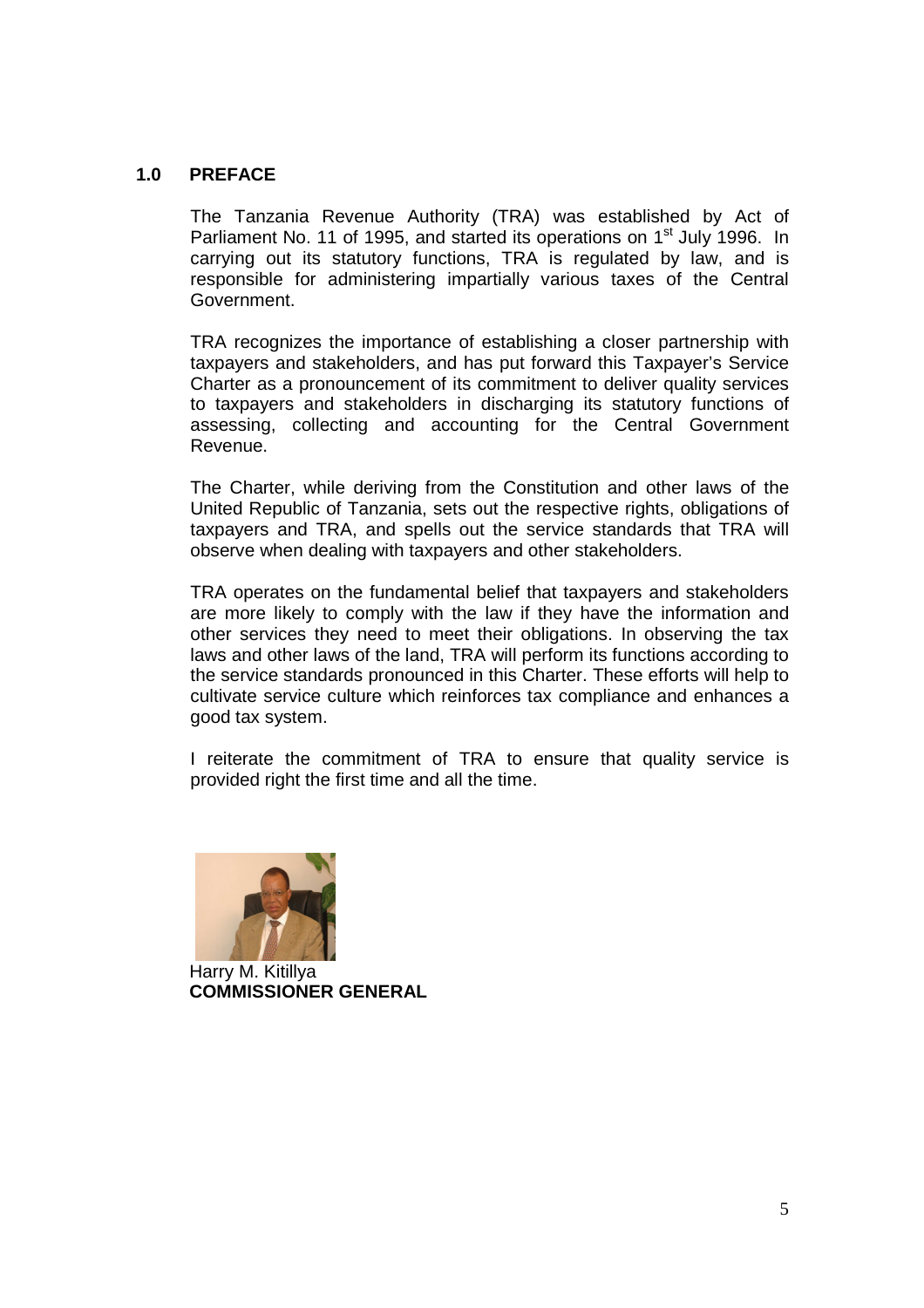### **1.0 PREFACE**

The Tanzania Revenue Authority (TRA) was established by Act of Parliament No. 11 of 1995, and started its operations on 1<sup>st</sup> July 1996. In carrying out its statutory functions, TRA is regulated by law, and is responsible for administering impartially various taxes of the Central Government.

TRA recognizes the importance of establishing a closer partnership with taxpayers and stakeholders, and has put forward this Taxpayer's Service Charter as a pronouncement of its commitment to deliver quality services to taxpayers and stakeholders in discharging its statutory functions of assessing, collecting and accounting for the Central Government Revenue.

The Charter, while deriving from the Constitution and other laws of the United Republic of Tanzania, sets out the respective rights, obligations of taxpayers and TRA, and spells out the service standards that TRA will observe when dealing with taxpayers and other stakeholders.

TRA operates on the fundamental belief that taxpayers and stakeholders are more likely to comply with the law if they have the information and other services they need to meet their obligations. In observing the tax laws and other laws of the land, TRA will perform its functions according to the service standards pronounced in this Charter. These efforts will help to cultivate service culture which reinforces tax compliance and enhances a good tax system.

I reiterate the commitment of TRA to ensure that quality service is provided right the first time and all the time.



 Harry M. Kitillya  **COMMISSIONER GENERAL**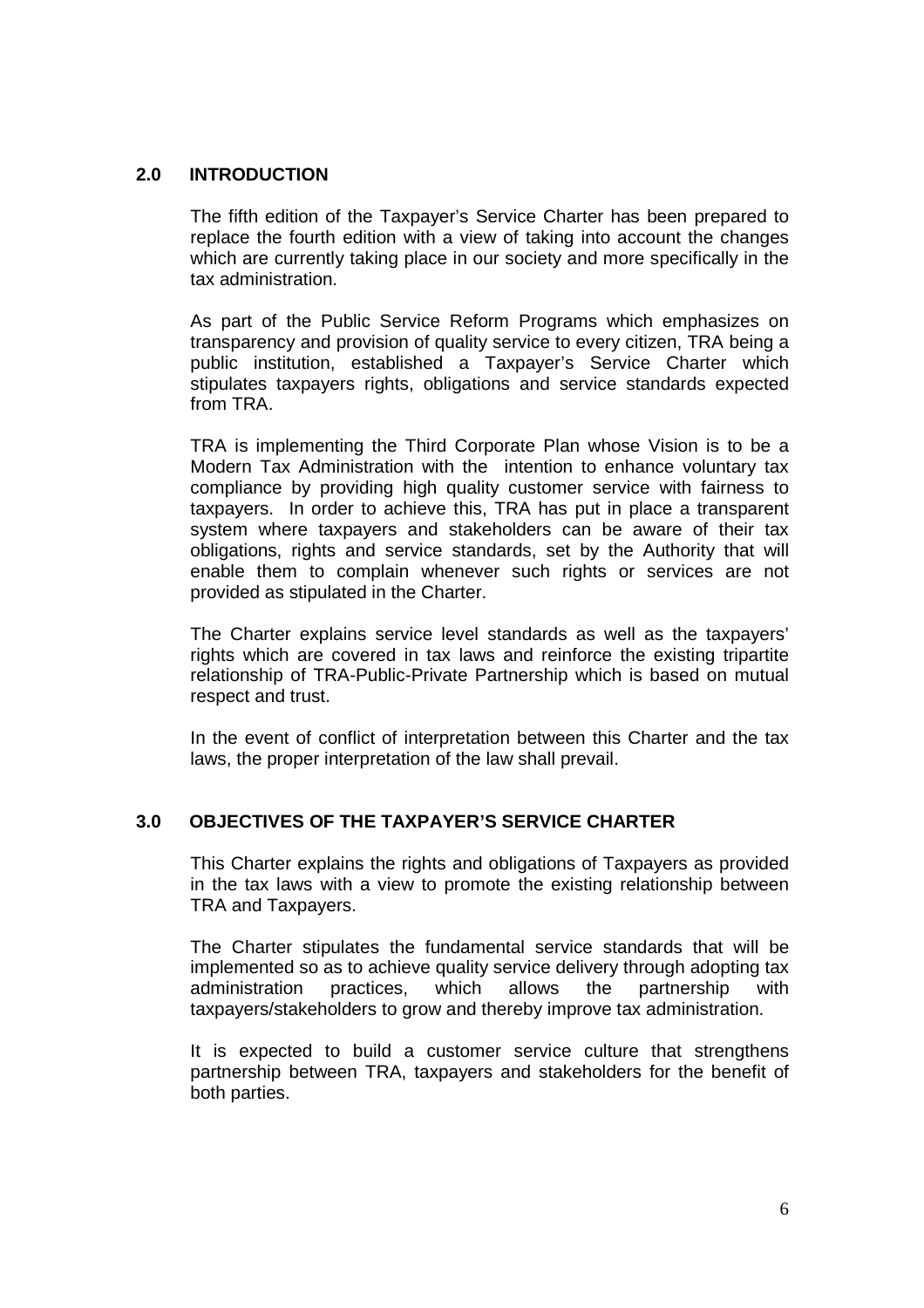### **2.0 INTRODUCTION**

The fifth edition of the Taxpayer's Service Charter has been prepared to replace the fourth edition with a view of taking into account the changes which are currently taking place in our society and more specifically in the tax administration.

As part of the Public Service Reform Programs which emphasizes on transparency and provision of quality service to every citizen, TRA being a public institution, established a Taxpayer's Service Charter which stipulates taxpayers rights, obligations and service standards expected from TRA.

TRA is implementing the Third Corporate Plan whose Vision is to be a Modern Tax Administration with the intention to enhance voluntary tax compliance by providing high quality customer service with fairness to taxpayers. In order to achieve this, TRA has put in place a transparent system where taxpayers and stakeholders can be aware of their tax obligations, rights and service standards, set by the Authority that will enable them to complain whenever such rights or services are not provided as stipulated in the Charter.

The Charter explains service level standards as well as the taxpayers' rights which are covered in tax laws and reinforce the existing tripartite relationship of TRA-Public-Private Partnership which is based on mutual respect and trust.

In the event of conflict of interpretation between this Charter and the tax laws, the proper interpretation of the law shall prevail.

#### **3.0 OBJECTIVES OF THE TAXPAYER'S SERVICE CHARTER**

This Charter explains the rights and obligations of Taxpayers as provided in the tax laws with a view to promote the existing relationship between TRA and Taxpayers.

The Charter stipulates the fundamental service standards that will be implemented so as to achieve quality service delivery through adopting tax administration practices, which allows the partnership with taxpayers/stakeholders to grow and thereby improve tax administration.

It is expected to build a customer service culture that strengthens partnership between TRA, taxpayers and stakeholders for the benefit of both parties.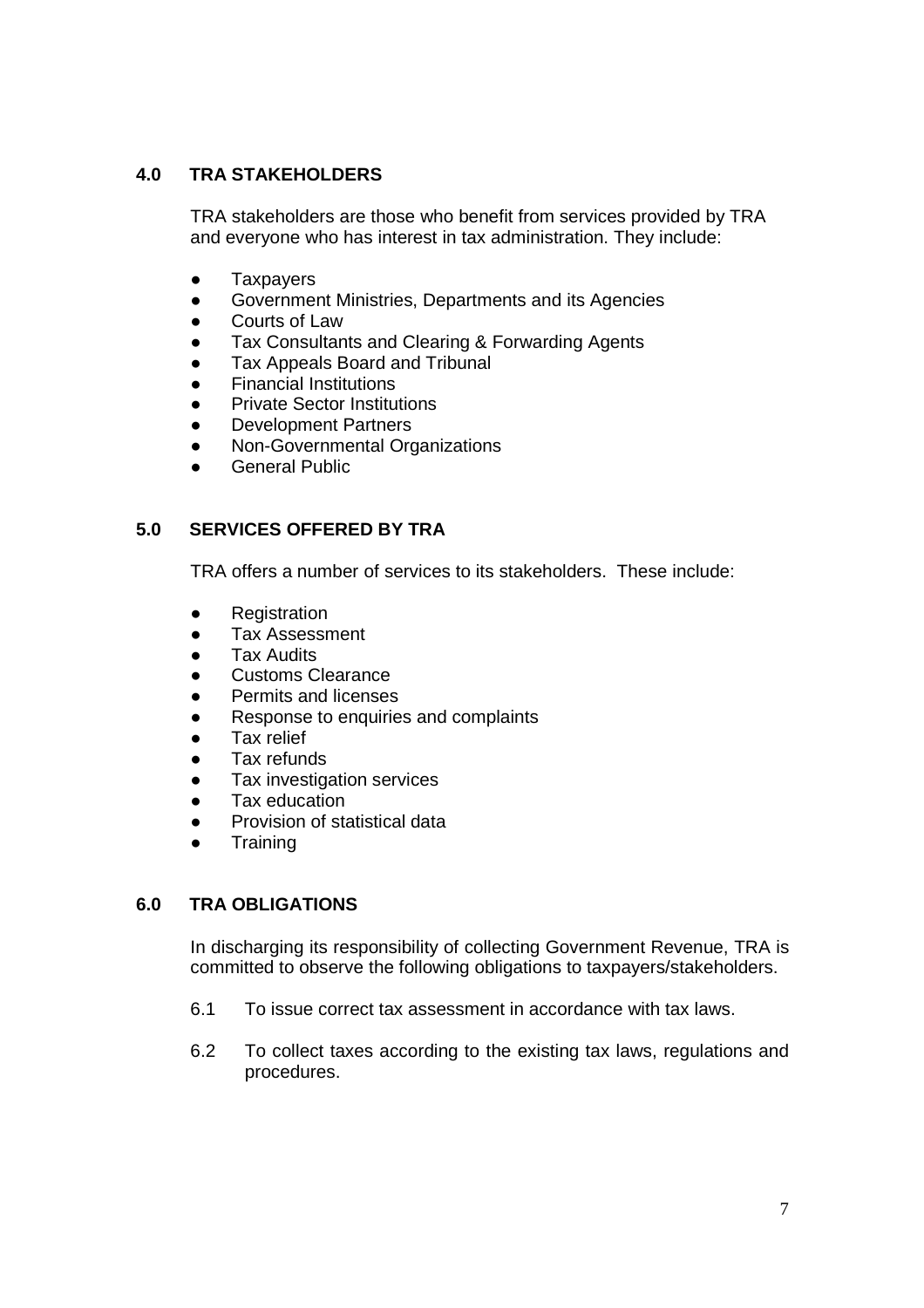# **4.0 TRA STAKEHOLDERS**

TRA stakeholders are those who benefit from services provided by TRA and everyone who has interest in tax administration. They include:

- Taxpayers
- Government Ministries, Departments and its Agencies
- Courts of Law
- Tax Consultants and Clearing & Forwarding Agents
- Tax Appeals Board and Tribunal
- **Financial Institutions**
- **Private Sector Institutions**
- Development Partners
- Non-Governmental Organizations
- **General Public**

### **5.0 SERVICES OFFERED BY TRA**

TRA offers a number of services to its stakeholders. These include:

- Registration
- Tax Assessment
- **Tax Audits**
- Customs Clearance
- Permits and licenses
- Response to enquiries and complaints
- Tax relief
- Tax refunds
- Tax investigation services
- Tax education
- Provision of statistical data
- Training

### **6.0 TRA OBLIGATIONS**

In discharging its responsibility of collecting Government Revenue, TRA is committed to observe the following obligations to taxpayers/stakeholders.

- 6.1 To issue correct tax assessment in accordance with tax laws.
- 6.2 To collect taxes according to the existing tax laws, regulations and procedures.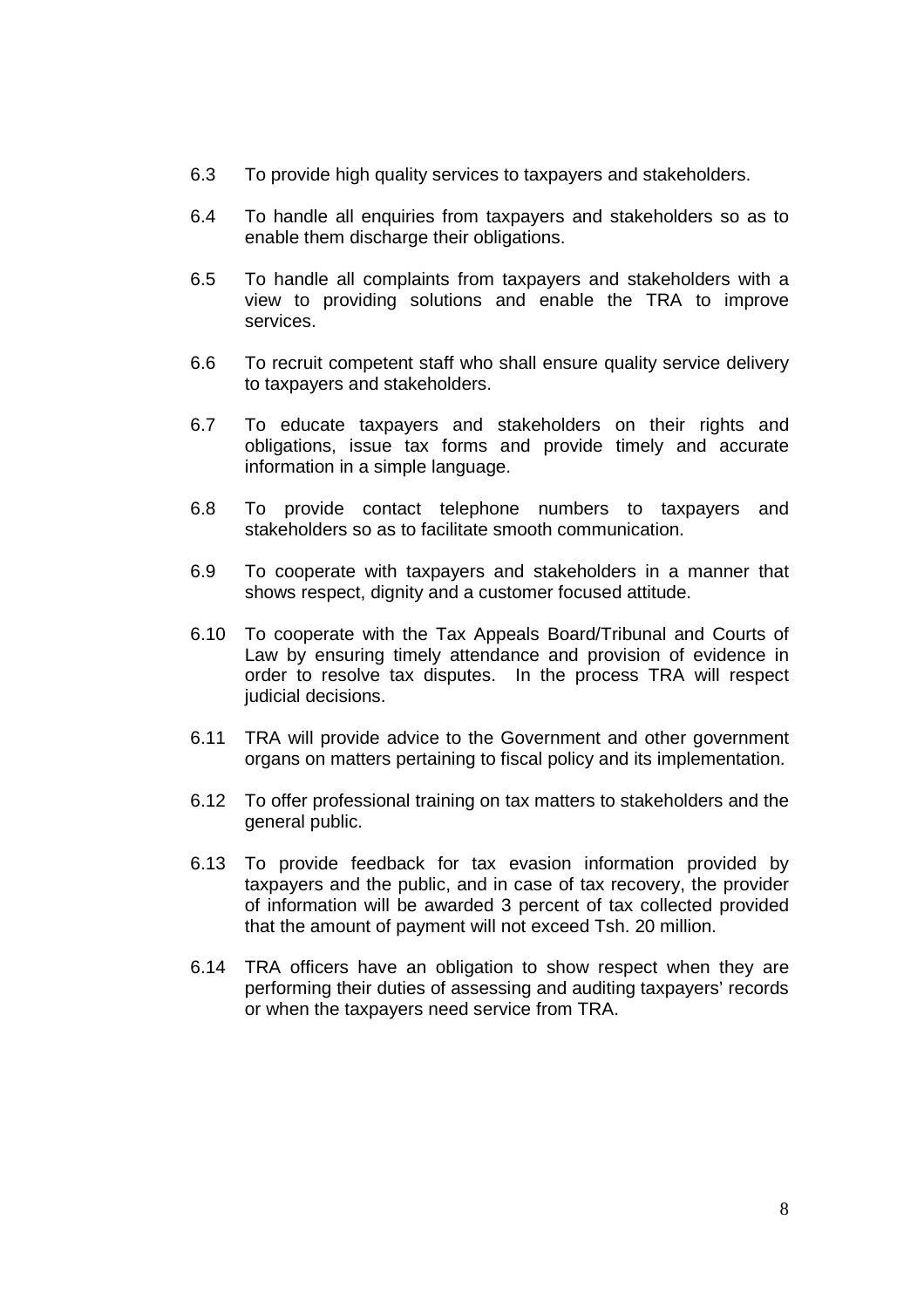- 6.3 To provide high quality services to taxpayers and stakeholders.
- 6.4 To handle all enquiries from taxpayers and stakeholders so as to enable them discharge their obligations.
- 6.5 To handle all complaints from taxpayers and stakeholders with a view to providing solutions and enable the TRA to improve services.
- 6.6 To recruit competent staff who shall ensure quality service delivery to taxpayers and stakeholders.
- 6.7 To educate taxpayers and stakeholders on their rights and obligations, issue tax forms and provide timely and accurate information in a simple language.
- 6.8 To provide contact telephone numbers to taxpayers and stakeholders so as to facilitate smooth communication.
- 6.9 To cooperate with taxpayers and stakeholders in a manner that shows respect, dignity and a customer focused attitude.
- 6.10 To cooperate with the Tax Appeals Board/Tribunal and Courts of Law by ensuring timely attendance and provision of evidence in order to resolve tax disputes. In the process TRA will respect judicial decisions.
- 6.11 TRA will provide advice to the Government and other government organs on matters pertaining to fiscal policy and its implementation.
- 6.12 To offer professional training on tax matters to stakeholders and the general public.
- 6.13 To provide feedback for tax evasion information provided by taxpayers and the public, and in case of tax recovery, the provider of information will be awarded 3 percent of tax collected provided that the amount of payment will not exceed Tsh. 20 million.
- 6.14 TRA officers have an obligation to show respect when they are performing their duties of assessing and auditing taxpayers' records or when the taxpayers need service from TRA.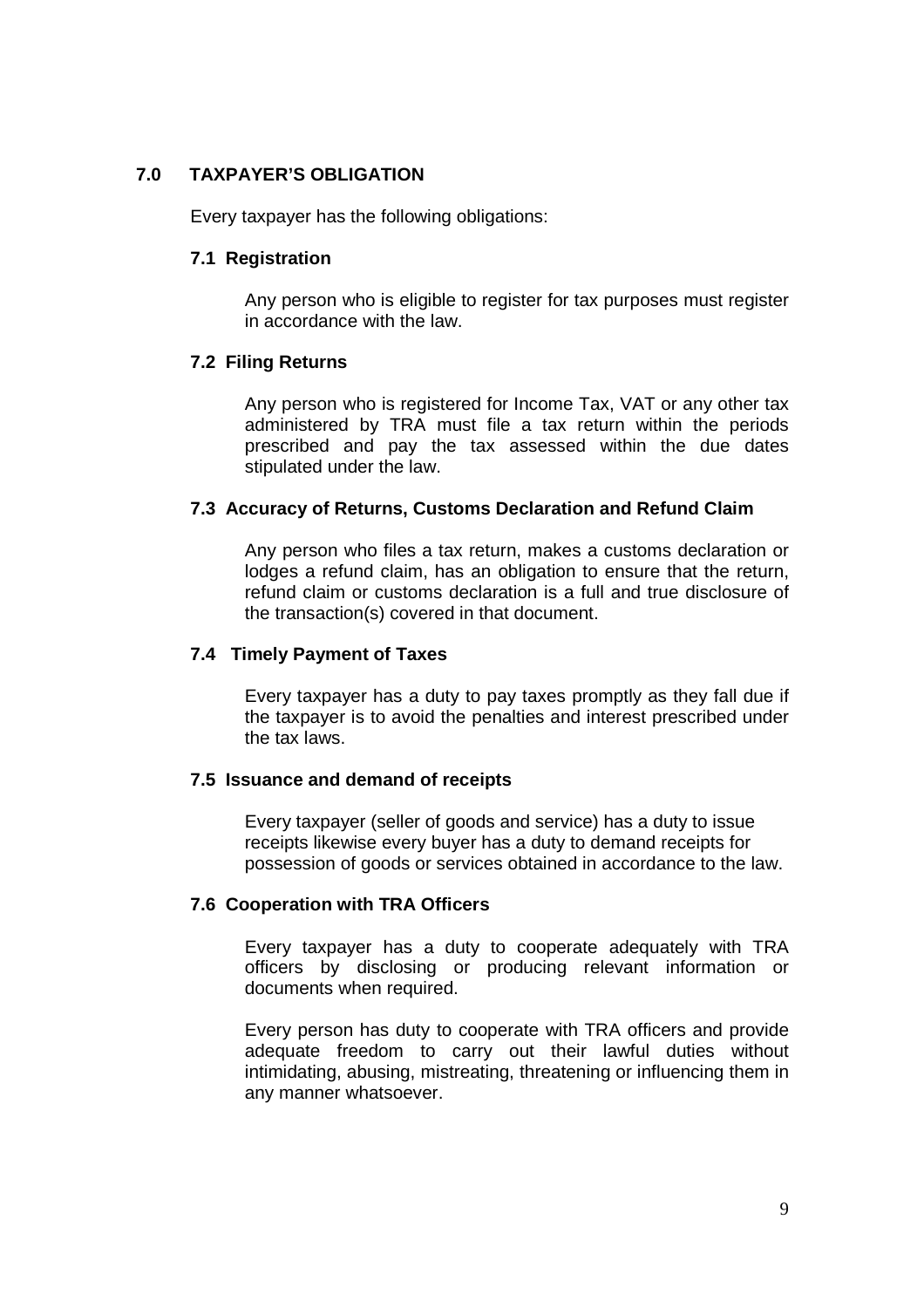### **7.0 TAXPAYER'S OBLIGATION**

Every taxpayer has the following obligations:

#### **7.1 Registration**

Any person who is eligible to register for tax purposes must register in accordance with the law.

#### **7.2 Filing Returns**

Any person who is registered for Income Tax, VAT or any other tax administered by TRA must file a tax return within the periods prescribed and pay the tax assessed within the due dates stipulated under the law.

#### **7.3 Accuracy of Returns, Customs Declaration and Refund Claim**

Any person who files a tax return, makes a customs declaration or lodges a refund claim, has an obligation to ensure that the return, refund claim or customs declaration is a full and true disclosure of the transaction(s) covered in that document.

#### **7.4 Timely Payment of Taxes**

Every taxpayer has a duty to pay taxes promptly as they fall due if the taxpayer is to avoid the penalties and interest prescribed under the tax laws.

#### **7.5 Issuance and demand of receipts**

Every taxpayer (seller of goods and service) has a duty to issue receipts likewise every buyer has a duty to demand receipts for possession of goods or services obtained in accordance to the law.

#### **7.6 Cooperation with TRA Officers**

Every taxpayer has a duty to cooperate adequately with TRA officers by disclosing or producing relevant information or documents when required.

Every person has duty to cooperate with TRA officers and provide adequate freedom to carry out their lawful duties without intimidating, abusing, mistreating, threatening or influencing them in any manner whatsoever.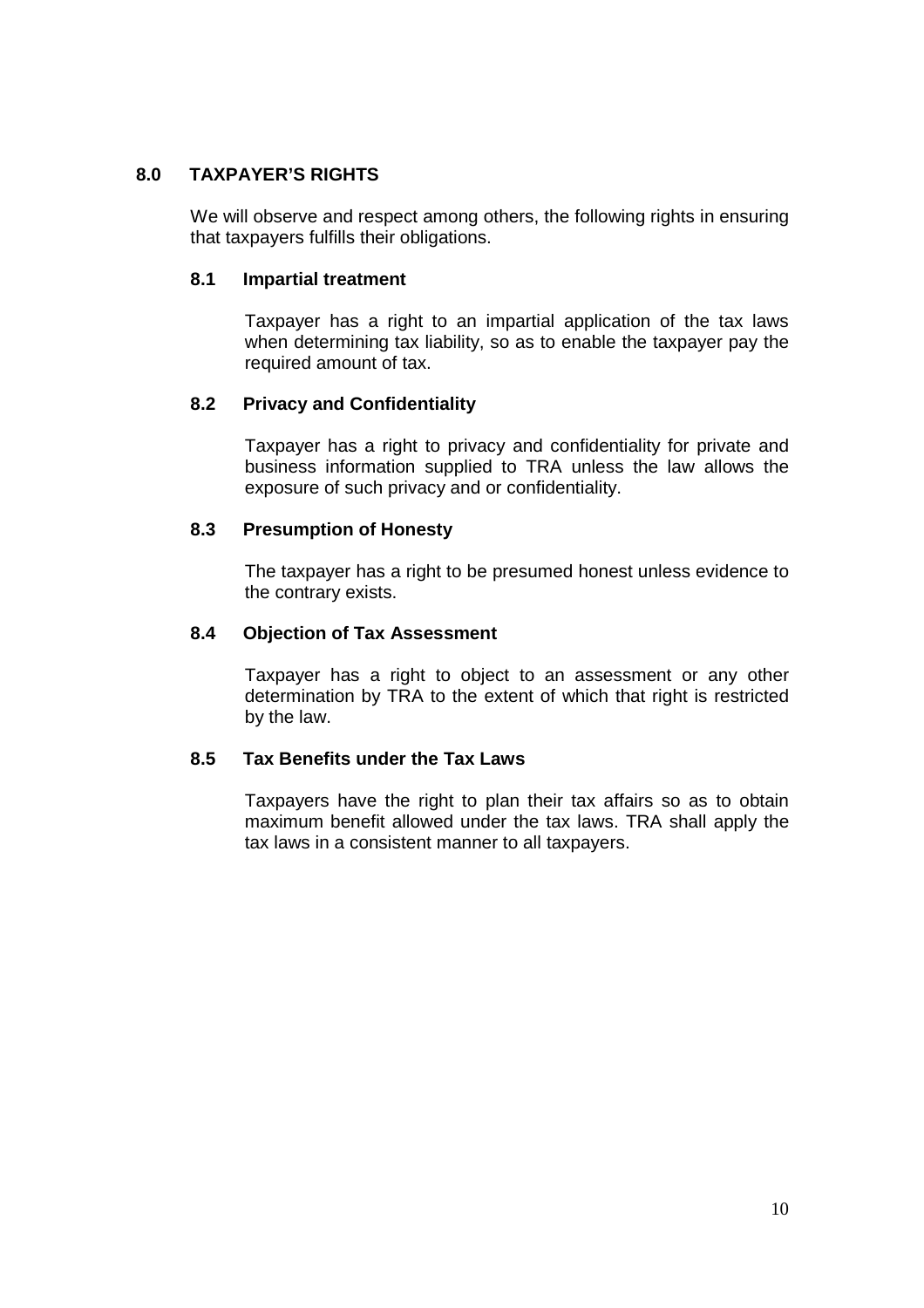## **8.0 TAXPAYER'S RIGHTS**

We will observe and respect among others, the following rights in ensuring that taxpayers fulfills their obligations.

### **8.1 Impartial treatment**

Taxpayer has a right to an impartial application of the tax laws when determining tax liability, so as to enable the taxpayer pay the required amount of tax.

### **8.2 Privacy and Confidentiality**

Taxpayer has a right to privacy and confidentiality for private and business information supplied to TRA unless the law allows the exposure of such privacy and or confidentiality.

### **8.3 Presumption of Honesty**

The taxpayer has a right to be presumed honest unless evidence to the contrary exists.

### **8.4 Objection of Tax Assessment**

Taxpayer has a right to object to an assessment or any other determination by TRA to the extent of which that right is restricted by the law.

### **8.5 Tax Benefits under the Tax Laws**

Taxpayers have the right to plan their tax affairs so as to obtain maximum benefit allowed under the tax laws. TRA shall apply the tax laws in a consistent manner to all taxpayers.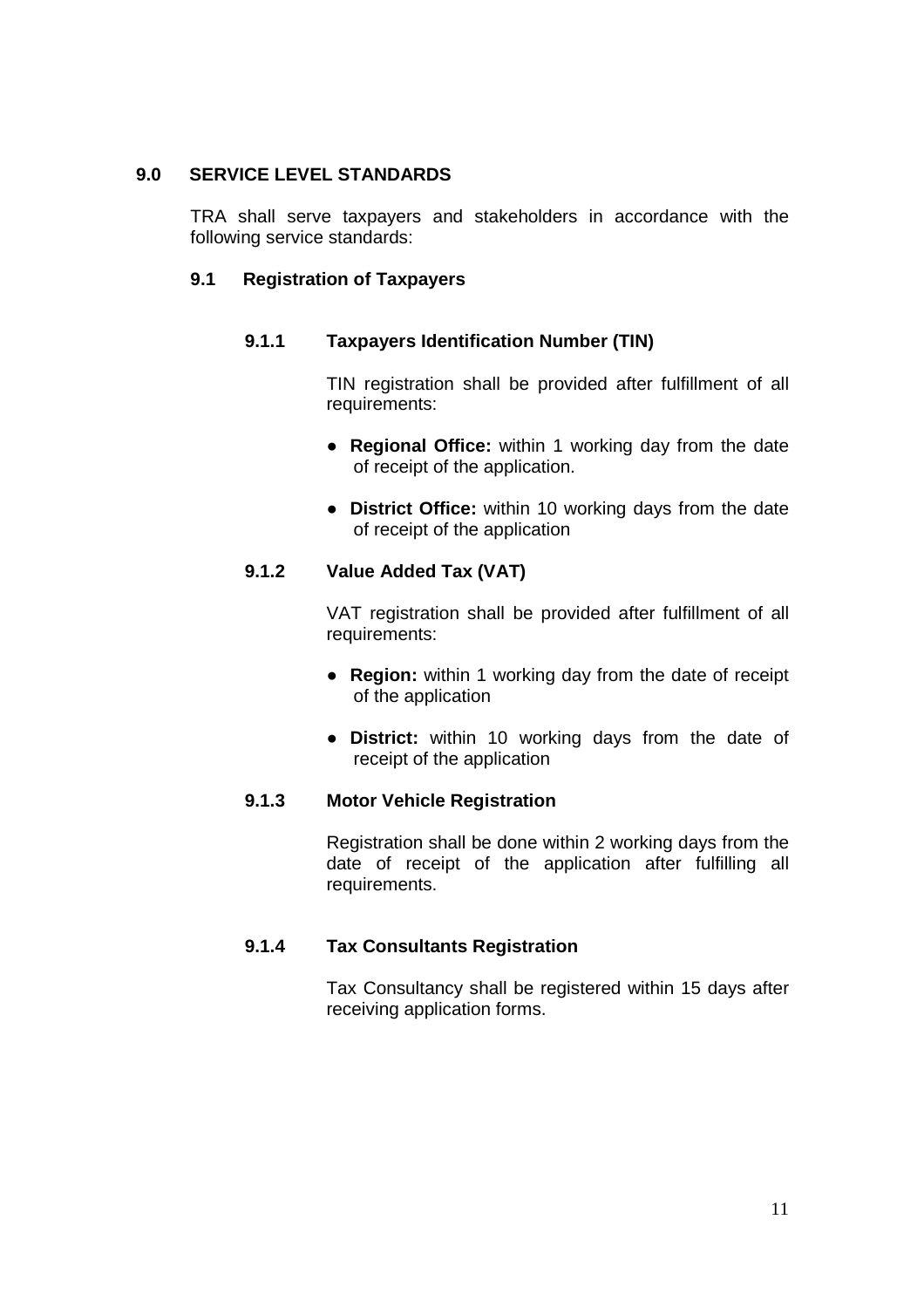### **9.0 SERVICE LEVEL STANDARDS**

TRA shall serve taxpayers and stakeholders in accordance with the following service standards:

### **9.1 Registration of Taxpayers**

#### **9.1.1 Taxpayers Identification Number (TIN)**

TIN registration shall be provided after fulfillment of all requirements:

- **Regional Office:** within 1 working day from the date of receipt of the application.
- **District Office:** within 10 working days from the date of receipt of the application

### **9.1.2 Value Added Tax (VAT)**

VAT registration shall be provided after fulfillment of all requirements:

- **Region:** within 1 working day from the date of receipt of the application
- **District:** within 10 working days from the date of receipt of the application

### **9.1.3 Motor Vehicle Registration**

Registration shall be done within 2 working days from the date of receipt of the application after fulfilling all requirements.

#### **9.1.4 Tax Consultants Registration**

Tax Consultancy shall be registered within 15 days after receiving application forms.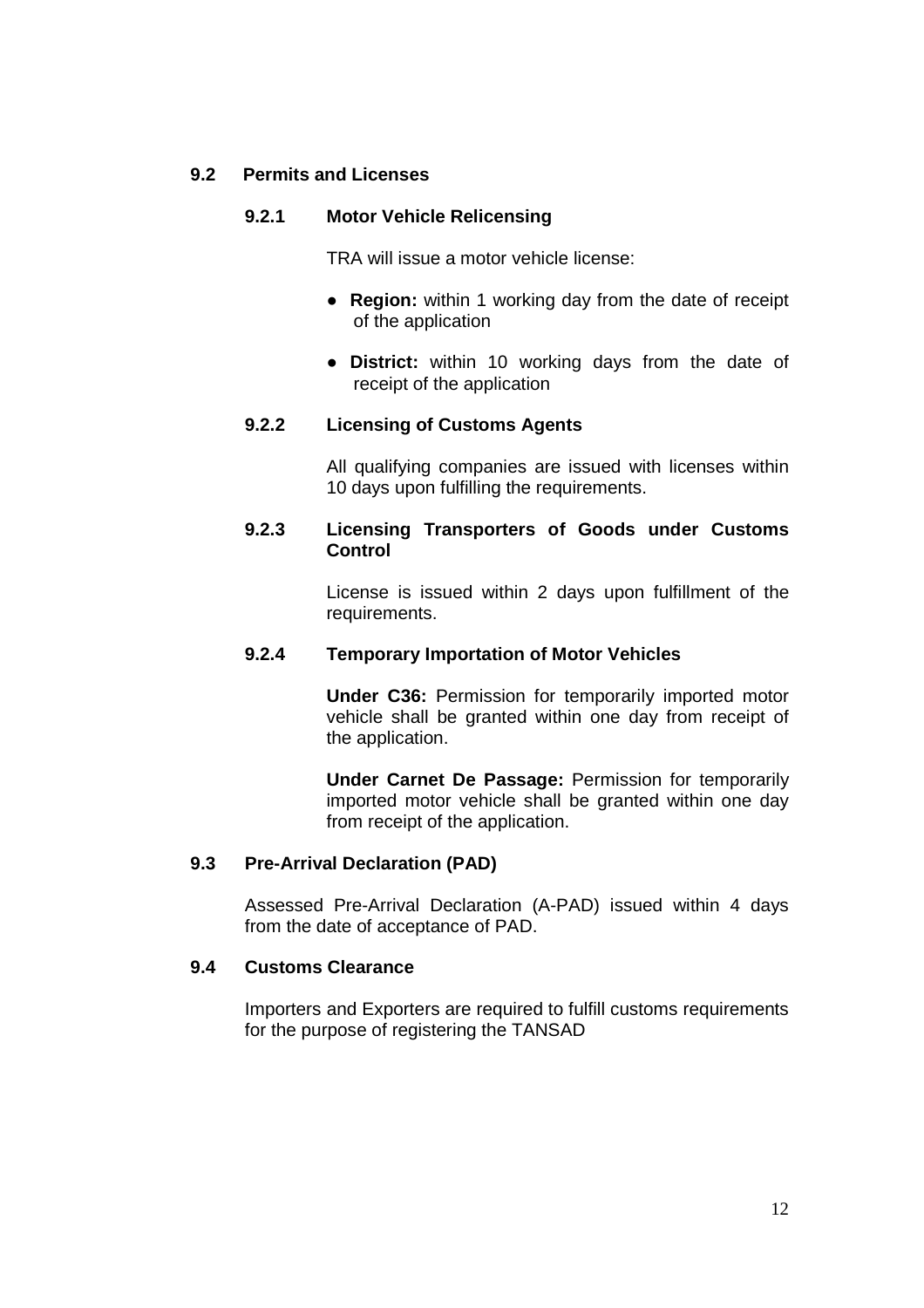### **9.2 Permits and Licenses**

### **9.2.1 Motor Vehicle Relicensing**

TRA will issue a motor vehicle license:

- **Region:** within 1 working day from the date of receipt of the application
- **District:** within 10 working days from the date of receipt of the application

### **9.2.2 Licensing of Customs Agents**

All qualifying companies are issued with licenses within 10 days upon fulfilling the requirements.

### **9.2.3 Licensing Transporters of Goods under Customs Control**

License is issued within 2 days upon fulfillment of the requirements.

#### **9.2.4 Temporary Importation of Motor Vehicles**

**Under C36:** Permission for temporarily imported motor vehicle shall be granted within one day from receipt of the application.

**Under Carnet De Passage:** Permission for temporarily imported motor vehicle shall be granted within one day from receipt of the application.

#### **9.3 Pre-Arrival Declaration (PAD)**

Assessed Pre-Arrival Declaration (A-PAD) issued within 4 days from the date of acceptance of PAD.

#### **9.4 Customs Clearance**

Importers and Exporters are required to fulfill customs requirements for the purpose of registering the TANSAD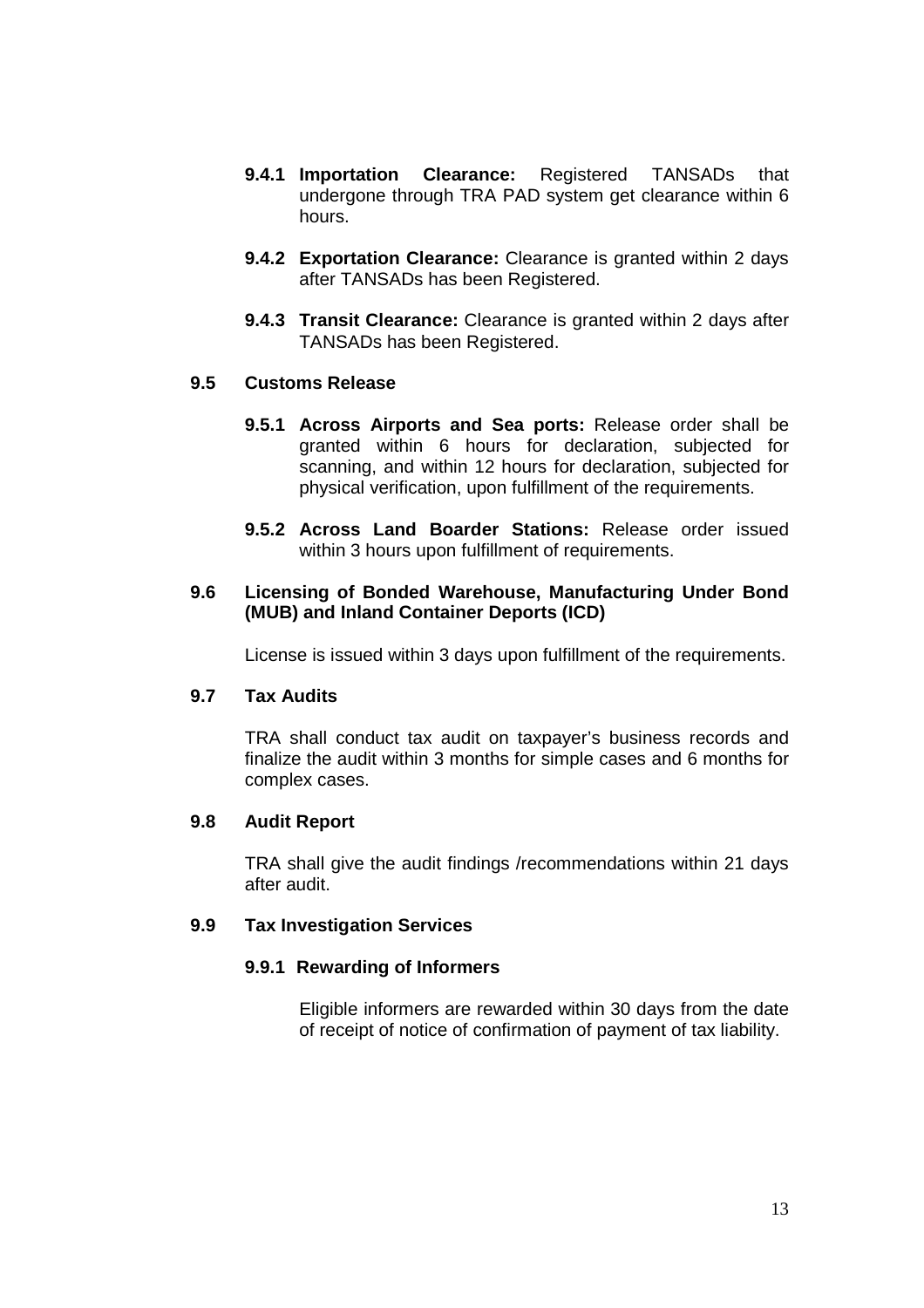- **9.4.1 Importation Clearance:** Registered TANSADs that undergone through TRA PAD system get clearance within 6 hours.
- **9.4.2 Exportation Clearance:** Clearance is granted within 2 days after TANSADs has been Registered.
- **9.4.3 Transit Clearance:** Clearance is granted within 2 days after TANSADs has been Registered.

### **9.5 Customs Release**

- **9.5.1 Across Airports and Sea ports:** Release order shall be granted within 6 hours for declaration, subjected for scanning, and within 12 hours for declaration, subjected for physical verification, upon fulfillment of the requirements.
- **9.5.2 Across Land Boarder Stations:** Release order issued within 3 hours upon fulfillment of requirements.

### **9.6 Licensing of Bonded Warehouse, Manufacturing Under Bond (MUB) and Inland Container Deports (ICD)**

License is issued within 3 days upon fulfillment of the requirements.

### **9.7 Tax Audits**

TRA shall conduct tax audit on taxpayer's business records and finalize the audit within 3 months for simple cases and 6 months for complex cases.

#### **9.8 Audit Report**

TRA shall give the audit findings /recommendations within 21 days after audit.

#### **9.9 Tax Investigation Services**

#### **9.9.1 Rewarding of Informers**

Eligible informers are rewarded within 30 days from the date of receipt of notice of confirmation of payment of tax liability.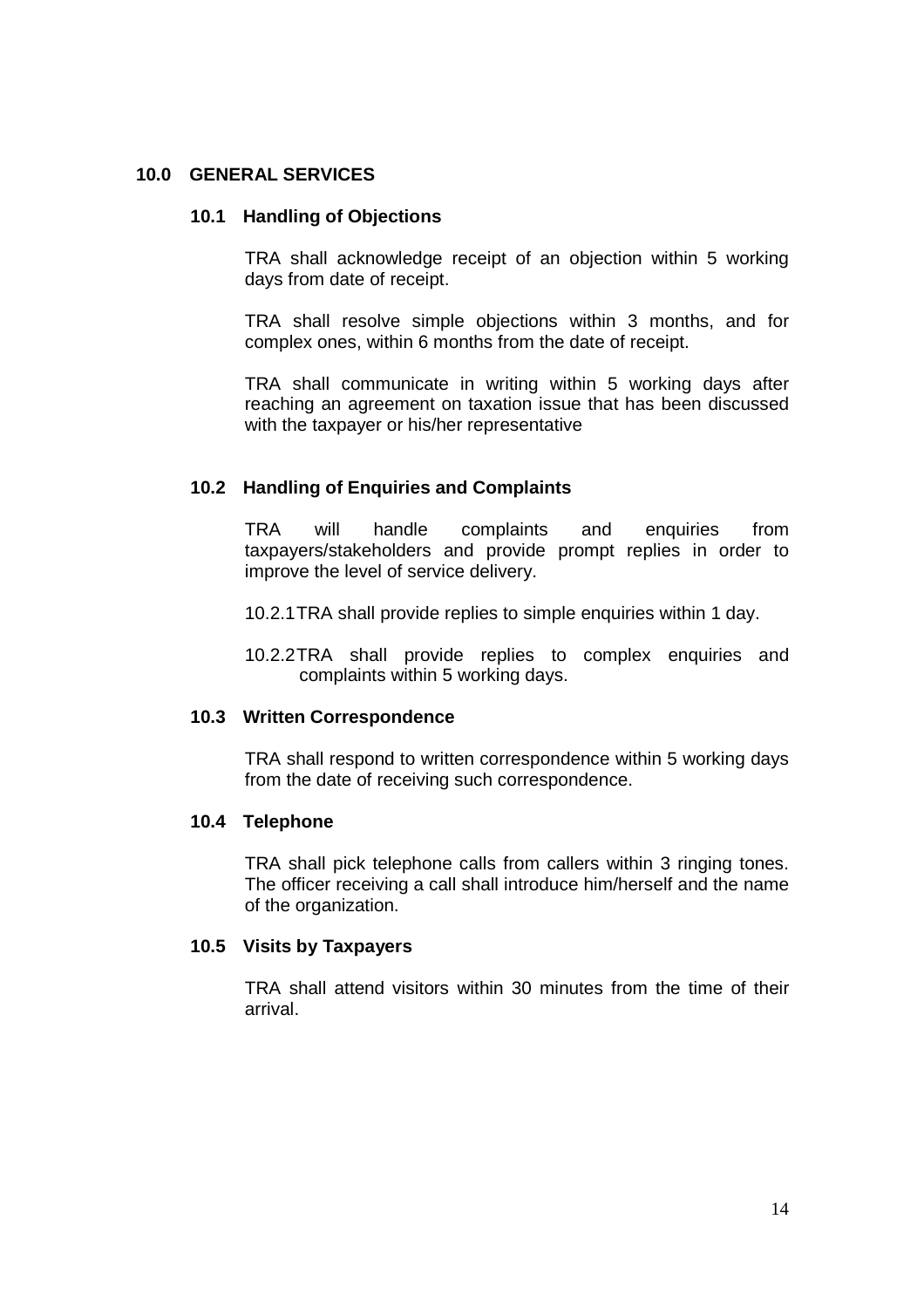#### **10.0 GENERAL SERVICES**

#### **10.1 Handling of Objections**

TRA shall acknowledge receipt of an objection within 5 working days from date of receipt.

TRA shall resolve simple objections within 3 months, and for complex ones, within 6 months from the date of receipt.

TRA shall communicate in writing within 5 working days after reaching an agreement on taxation issue that has been discussed with the taxpayer or his/her representative

#### **10.2 Handling of Enquiries and Complaints**

TRA will handle complaints and enquiries from taxpayers/stakeholders and provide prompt replies in order to improve the level of service delivery.

10.2.1 TRA shall provide replies to simple enquiries within 1 day.

10.2.2 TRA shall provide replies to complex enquiries and complaints within 5 working days.

#### **10.3 Written Correspondence**

TRA shall respond to written correspondence within 5 working days from the date of receiving such correspondence.

#### **10.4 Telephone**

TRA shall pick telephone calls from callers within 3 ringing tones. The officer receiving a call shall introduce him/herself and the name of the organization.

#### **10.5 Visits by Taxpayers**

TRA shall attend visitors within 30 minutes from the time of their arrival.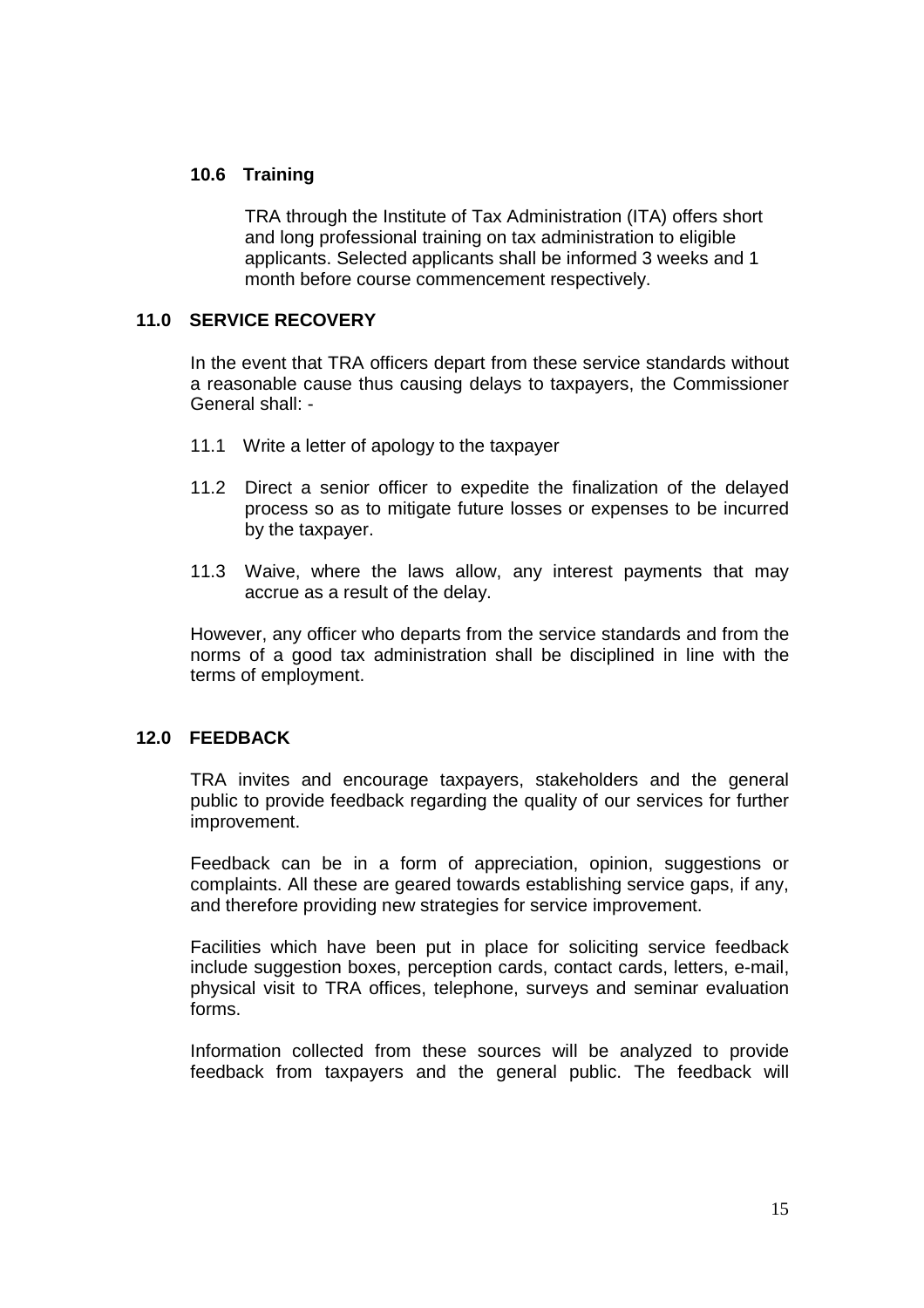### **10.6 Training**

TRA through the Institute of Tax Administration (ITA) offers short and long professional training on tax administration to eligible applicants. Selected applicants shall be informed 3 weeks and 1 month before course commencement respectively.

#### **11.0 SERVICE RECOVERY**

In the event that TRA officers depart from these service standards without a reasonable cause thus causing delays to taxpayers, the Commissioner General shall: -

- 11.1 Write a letter of apology to the taxpayer
- 11.2 Direct a senior officer to expedite the finalization of the delayed process so as to mitigate future losses or expenses to be incurred by the taxpayer.
- 11.3 Waive, where the laws allow, any interest payments that may accrue as a result of the delay.

However, any officer who departs from the service standards and from the norms of a good tax administration shall be disciplined in line with the terms of employment.

#### **12.0 FEEDBACK**

TRA invites and encourage taxpayers, stakeholders and the general public to provide feedback regarding the quality of our services for further improvement.

Feedback can be in a form of appreciation, opinion, suggestions or complaints. All these are geared towards establishing service gaps, if any, and therefore providing new strategies for service improvement.

Facilities which have been put in place for soliciting service feedback include suggestion boxes, perception cards, contact cards, letters, e-mail, physical visit to TRA offices, telephone, surveys and seminar evaluation forms.

Information collected from these sources will be analyzed to provide feedback from taxpayers and the general public. The feedback will